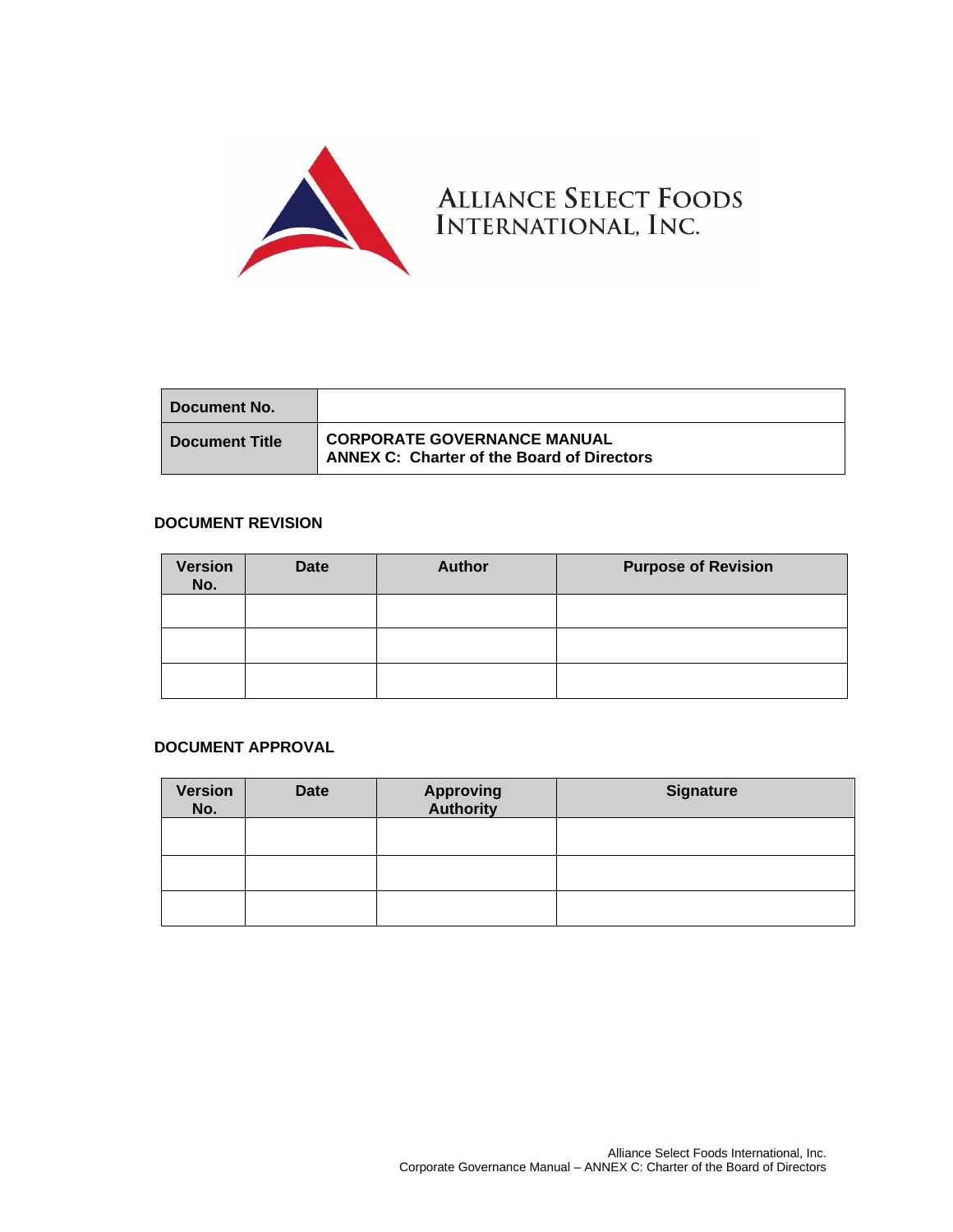

| Document No.          |                                                                                  |
|-----------------------|----------------------------------------------------------------------------------|
| <b>Document Title</b> | CORPORATE GOVERNANCE MANUAL<br><b>ANNEX C: Charter of the Board of Directors</b> |

## **DOCUMENT REVISION**

| <b>Version</b><br>No. | <b>Date</b> | <b>Author</b> | <b>Purpose of Revision</b> |
|-----------------------|-------------|---------------|----------------------------|
|                       |             |               |                            |
|                       |             |               |                            |
|                       |             |               |                            |

## **DOCUMENT APPROVAL**

| <b>Version</b><br>No. | <b>Date</b> | <b>Approving</b><br><b>Authority</b> | <b>Signature</b> |
|-----------------------|-------------|--------------------------------------|------------------|
|                       |             |                                      |                  |
|                       |             |                                      |                  |
|                       |             |                                      |                  |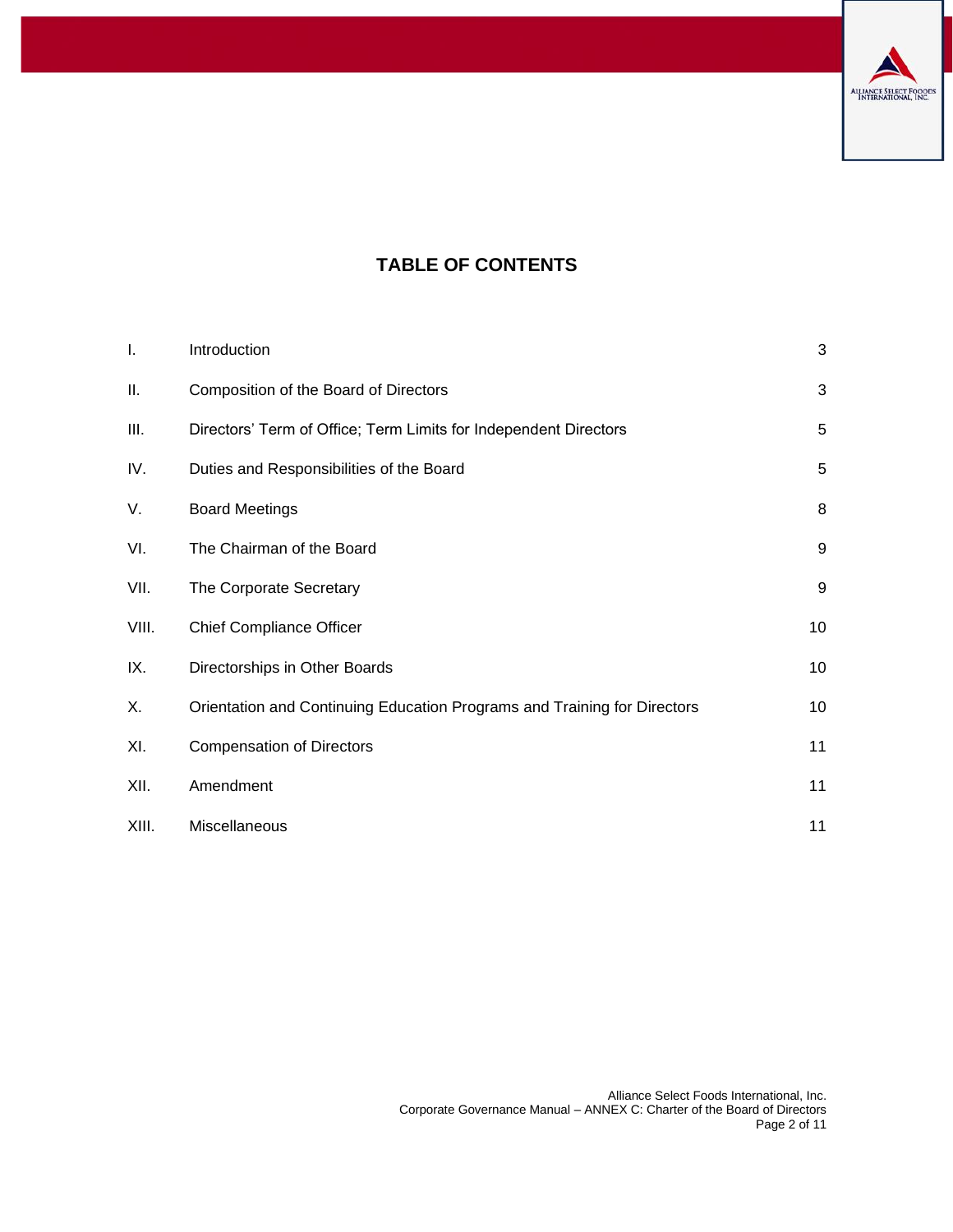

# **TABLE OF CONTENTS**

| I.    | Introduction                                                             | 3  |
|-------|--------------------------------------------------------------------------|----|
| Ш.    | Composition of the Board of Directors                                    | 3  |
| Ш.    | Directors' Term of Office; Term Limits for Independent Directors         | 5  |
| IV.   | Duties and Responsibilities of the Board                                 | 5  |
| V.    | <b>Board Meetings</b>                                                    | 8  |
| VI.   | The Chairman of the Board                                                | 9  |
| VII.  | The Corporate Secretary                                                  | 9  |
| VIII. | <b>Chief Compliance Officer</b>                                          | 10 |
| IX.   | Directorships in Other Boards                                            | 10 |
| Χ.    | Orientation and Continuing Education Programs and Training for Directors | 10 |
| XI.   | <b>Compensation of Directors</b>                                         | 11 |
| XII.  | Amendment                                                                | 11 |
| XIII. | Miscellaneous                                                            | 11 |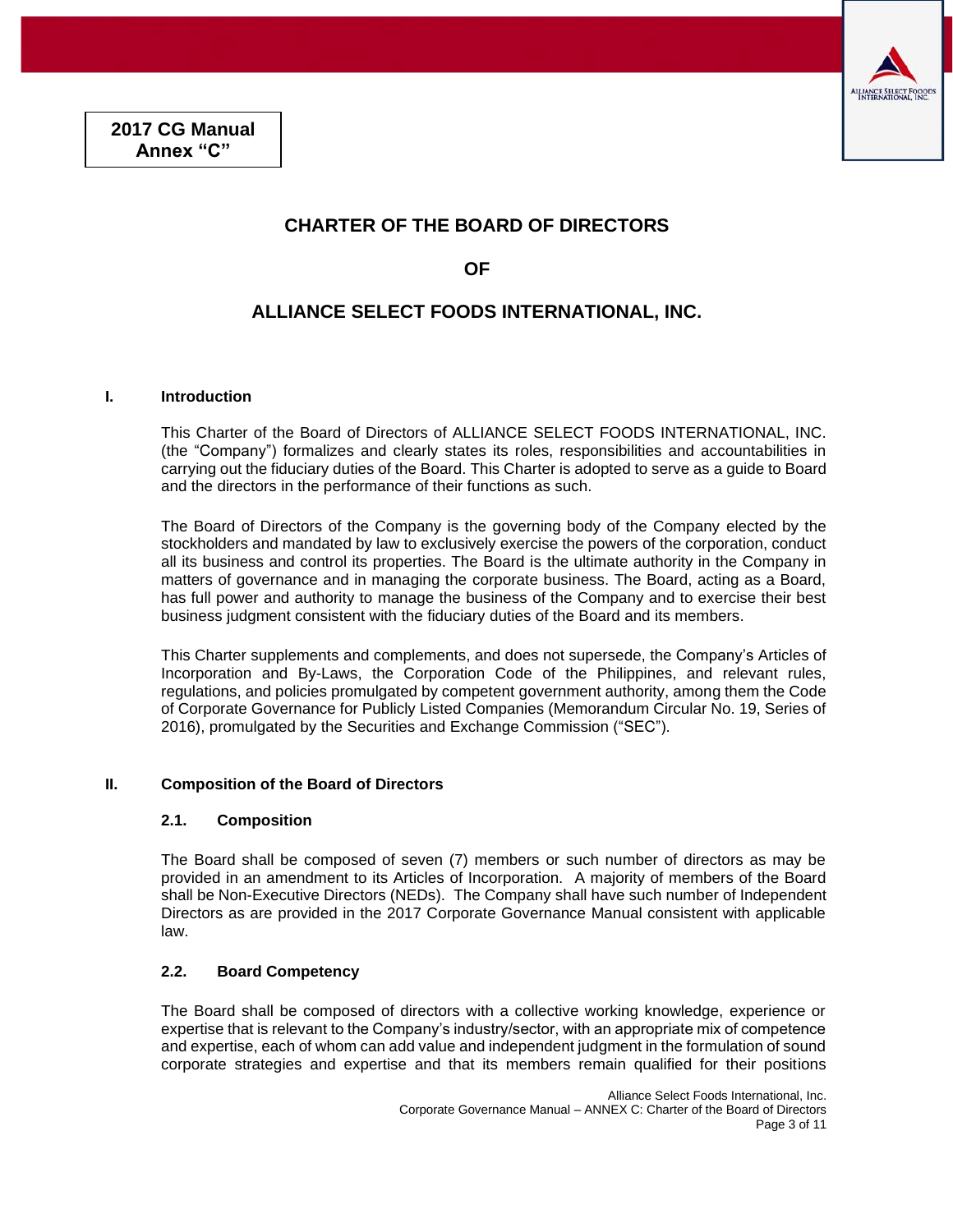

## **CHARTER OF THE BOARD OF DIRECTORS**

**OF** 

## **ALLIANCE SELECT FOODS INTERNATIONAL, INC.**

## <span id="page-2-0"></span>**I. Introduction**

This Charter of the Board of Directors of ALLIANCE SELECT FOODS INTERNATIONAL, INC. (the "Company") formalizes and clearly states its roles, responsibilities and accountabilities in carrying out the fiduciary duties of the Board. This Charter is adopted to serve as a guide to Board and the directors in the performance of their functions as such.

The Board of Directors of the Company is the governing body of the Company elected by the stockholders and mandated by law to exclusively exercise the powers of the corporation, conduct all its business and control its properties. The Board is the ultimate authority in the Company in matters of governance and in managing the corporate business. The Board, acting as a Board, has full power and authority to manage the business of the Company and to exercise their best business judgment consistent with the fiduciary duties of the Board and its members.

This Charter supplements and complements, and does not supersede, the Company's Articles of Incorporation and By-Laws, the Corporation Code of the Philippines, and relevant rules, regulations, and policies promulgated by competent government authority, among them the Code of Corporate Governance for Publicly Listed Companies (Memorandum Circular No. 19, Series of 2016), promulgated by the Securities and Exchange Commission ("SEC").

## <span id="page-2-1"></span>**II. Composition of the Board of Directors**

#### **2.1. Composition**

The Board shall be composed of seven (7) members or such number of directors as may be provided in an amendment to its Articles of Incorporation. A majority of members of the Board shall be Non-Executive Directors (NEDs). The Company shall have such number of Independent Directors as are provided in the 2017 Corporate Governance Manual consistent with applicable law.

## **2.2. Board Competency**

The Board shall be composed of directors with a collective working knowledge, experience or expertise that is relevant to the Company's industry/sector, with an appropriate mix of competence and expertise, each of whom can add value and independent judgment in the formulation of sound corporate strategies and expertise and that its members remain qualified for their positions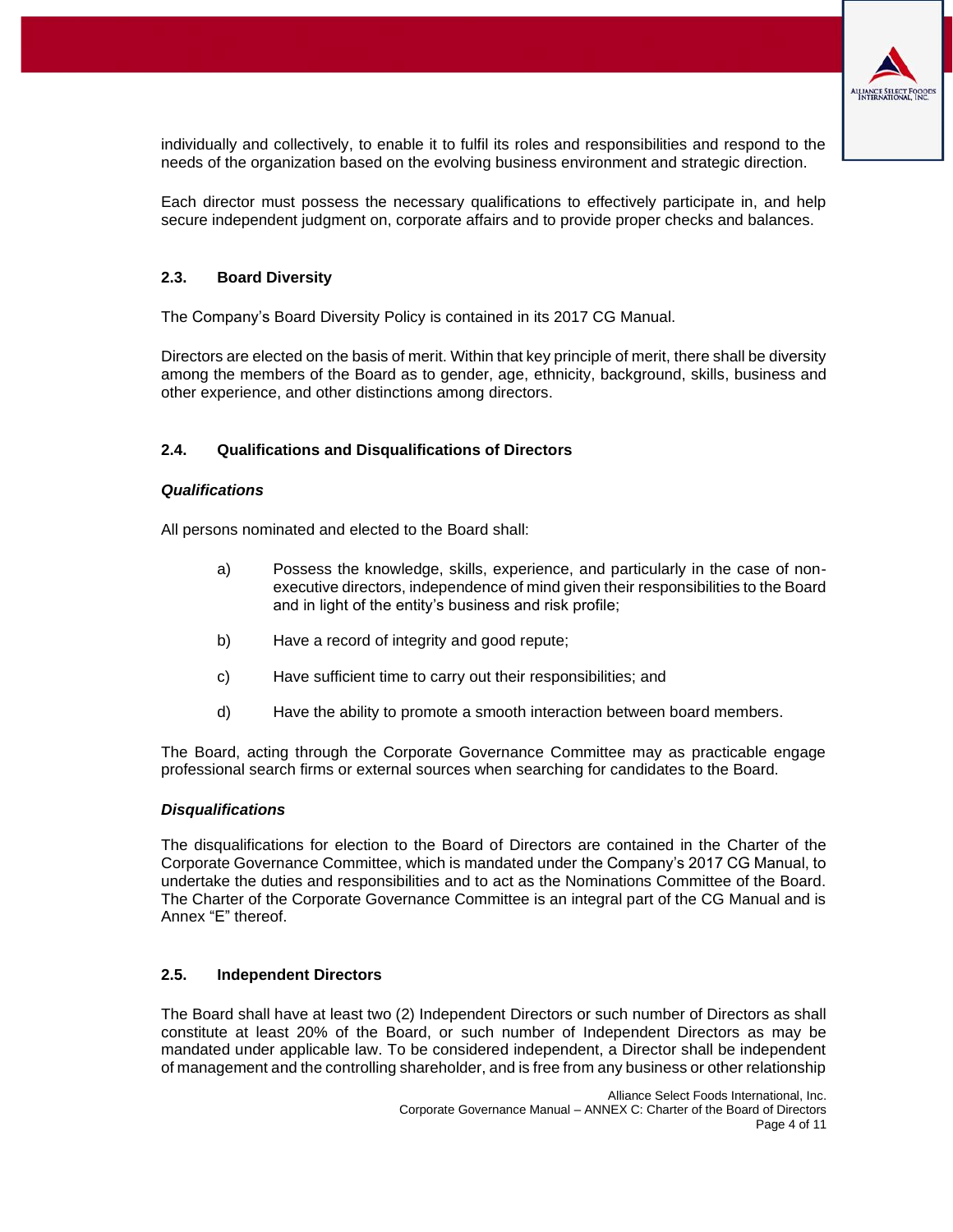

individually and collectively, to enable it to fulfil its roles and responsibilities and respond to the needs of the organization based on the evolving business environment and strategic direction.

Each director must possess the necessary qualifications to effectively participate in, and help secure independent judgment on, corporate affairs and to provide proper checks and balances.

## **2.3. Board Diversity**

The Company's Board Diversity Policy is contained in its 2017 CG Manual.

Directors are elected on the basis of merit. Within that key principle of merit, there shall be diversity among the members of the Board as to gender, age, ethnicity, background, skills, business and other experience, and other distinctions among directors.

## **2.4. Qualifications and Disqualifications of Directors**

#### *Qualifications*

All persons nominated and elected to the Board shall:

- a) Possess the knowledge, skills, experience, and particularly in the case of nonexecutive directors, independence of mind given their responsibilities to the Board and in light of the entity's business and risk profile;
- b) Have a record of integrity and good repute;
- c) Have sufficient time to carry out their responsibilities; and
- d) Have the ability to promote a smooth interaction between board members.

The Board, acting through the Corporate Governance Committee may as practicable engage professional search firms or external sources when searching for candidates to the Board.

#### *Disqualifications*

The disqualifications for election to the Board of Directors are contained in the Charter of the Corporate Governance Committee, which is mandated under the Company's 2017 CG Manual, to undertake the duties and responsibilities and to act as the Nominations Committee of the Board. The Charter of the Corporate Governance Committee is an integral part of the CG Manual and is Annex "E" thereof.

## **2.5. Independent Directors**

The Board shall have at least two (2) Independent Directors or such number of Directors as shall constitute at least 20% of the Board, or such number of Independent Directors as may be mandated under applicable law. To be considered independent, a Director shall be independent of management and the controlling shareholder, and is free from any business or other relationship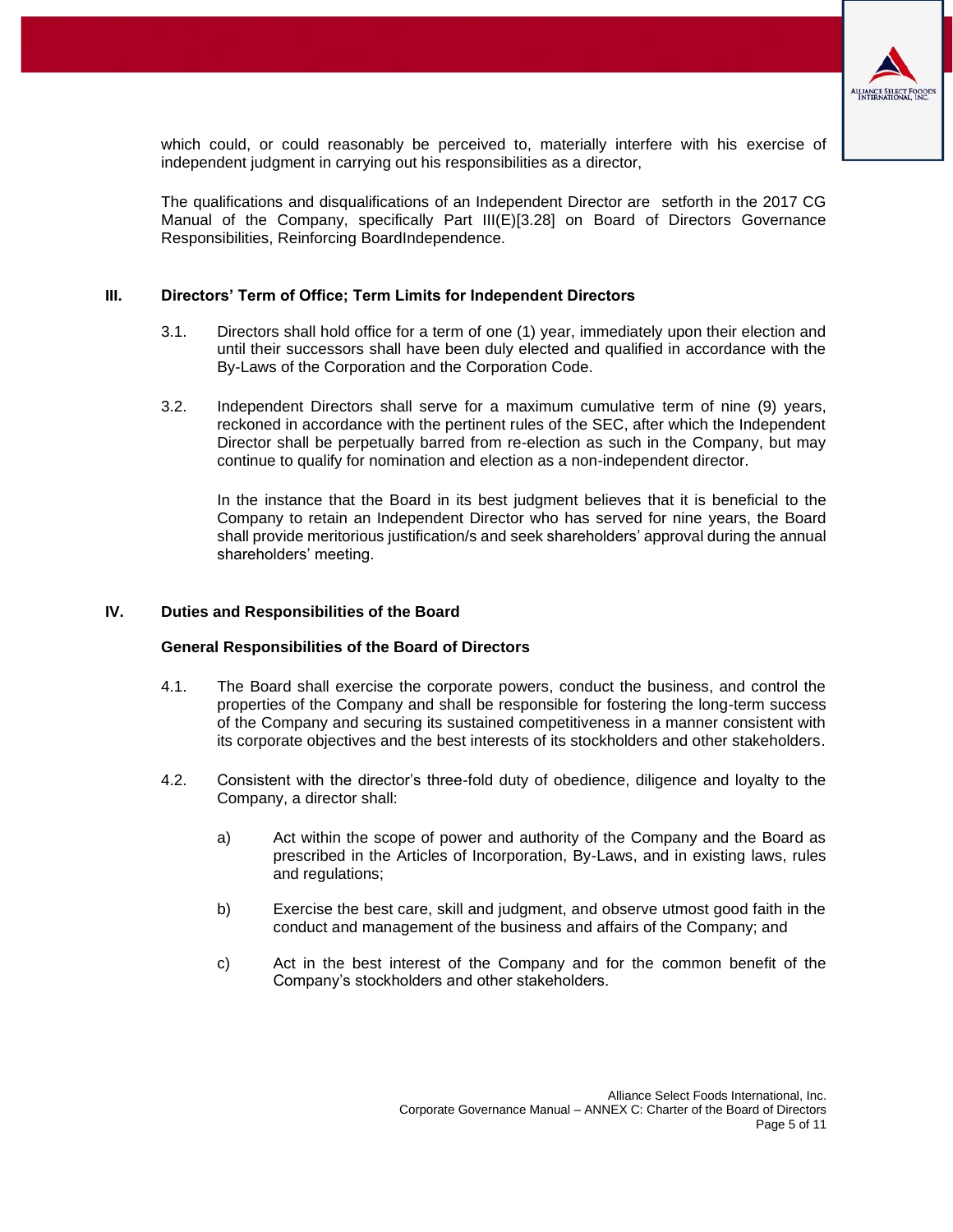

which could, or could reasonably be perceived to, materially interfere with his exercise of independent judgment in carrying out his responsibilities as a director,

The qualifications and disqualifications of an Independent Director are setforth in the 2017 CG Manual of the Company, specifically Part III(E)[3.28] on Board of Directors Governance Responsibilities, Reinforcing BoardIndependence.

## <span id="page-4-0"></span>**III. Directors' Term of Office; Term Limits for Independent Directors**

- 3.1. Directors shall hold office for a term of one (1) year, immediately upon their election and until their successors shall have been duly elected and qualified in accordance with the By-Laws of the Corporation and the Corporation Code.
- 3.2. Independent Directors shall serve for a maximum cumulative term of nine (9) years, reckoned in accordance with the pertinent rules of the SEC, after which the Independent Director shall be perpetually barred from re-election as such in the Company, but may continue to qualify for nomination and election as a non-independent director.

In the instance that the Board in its best judgment believes that it is beneficial to the Company to retain an Independent Director who has served for nine years, the Board shall provide meritorious justification/s and seek shareholders' approval during the annual shareholders' meeting.

## <span id="page-4-1"></span>**IV. Duties and Responsibilities of the Board**

## **General Responsibilities of the Board of Directors**

- 4.1. The Board shall exercise the corporate powers, conduct the business, and control the properties of the Company and shall be responsible for fostering the long-term success of the Company and securing its sustained competitiveness in a manner consistent with its corporate objectives and the best interests of its stockholders and other stakeholders.
- 4.2. Consistent with the director's three-fold duty of obedience, diligence and loyalty to the Company, a director shall:
	- a) Act within the scope of power and authority of the Company and the Board as prescribed in the Articles of Incorporation, By-Laws, and in existing laws, rules and regulations;
	- b) Exercise the best care, skill and judgment, and observe utmost good faith in the conduct and management of the business and affairs of the Company; and
	- c) Act in the best interest of the Company and for the common benefit of the Company's stockholders and other stakeholders.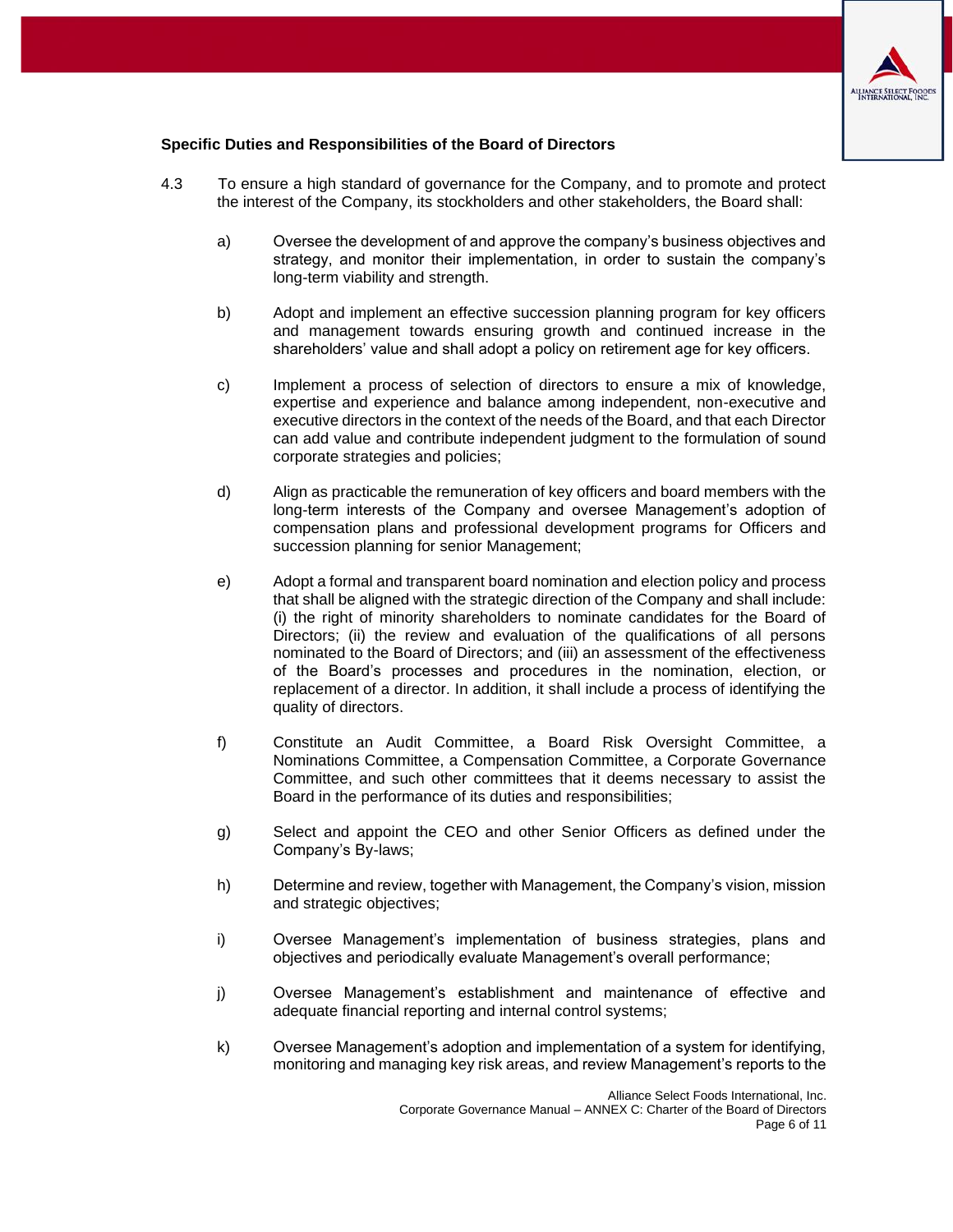

## **Specific Duties and Responsibilities of the Board of Directors**

- 4.3 To ensure a high standard of governance for the Company, and to promote and protect the interest of the Company, its stockholders and other stakeholders, the Board shall:
	- a) Oversee the development of and approve the company's business objectives and strategy, and monitor their implementation, in order to sustain the company's long-term viability and strength.
	- b) Adopt and implement an effective succession planning program for key officers and management towards ensuring growth and continued increase in the shareholders' value and shall adopt a policy on retirement age for key officers.
	- c) Implement a process of selection of directors to ensure a mix of knowledge, expertise and experience and balance among independent, non-executive and executive directors in the context of the needs of the Board, and that each Director can add value and contribute independent judgment to the formulation of sound corporate strategies and policies;
	- d) Align as practicable the remuneration of key officers and board members with the long-term interests of the Company and oversee Management's adoption of compensation plans and professional development programs for Officers and succession planning for senior Management;
	- e) Adopt a formal and transparent board nomination and election policy and process that shall be aligned with the strategic direction of the Company and shall include: (i) the right of minority shareholders to nominate candidates for the Board of Directors; (ii) the review and evaluation of the qualifications of all persons nominated to the Board of Directors; and (iii) an assessment of the effectiveness of the Board's processes and procedures in the nomination, election, or replacement of a director. In addition, it shall include a process of identifying the quality of directors.
	- f) Constitute an Audit Committee, a Board Risk Oversight Committee, a Nominations Committee, a Compensation Committee, a Corporate Governance Committee, and such other committees that it deems necessary to assist the Board in the performance of its duties and responsibilities;
	- g) Select and appoint the CEO and other Senior Officers as defined under the Company's By-laws;
	- h) Determine and review, together with Management, the Company's vision, mission and strategic objectives;
	- i) Oversee Management's implementation of business strategies, plans and objectives and periodically evaluate Management's overall performance;
	- j) Oversee Management's establishment and maintenance of effective and adequate financial reporting and internal control systems;
	- k) Oversee Management's adoption and implementation of a system for identifying, monitoring and managing key risk areas, and review Management's reports to the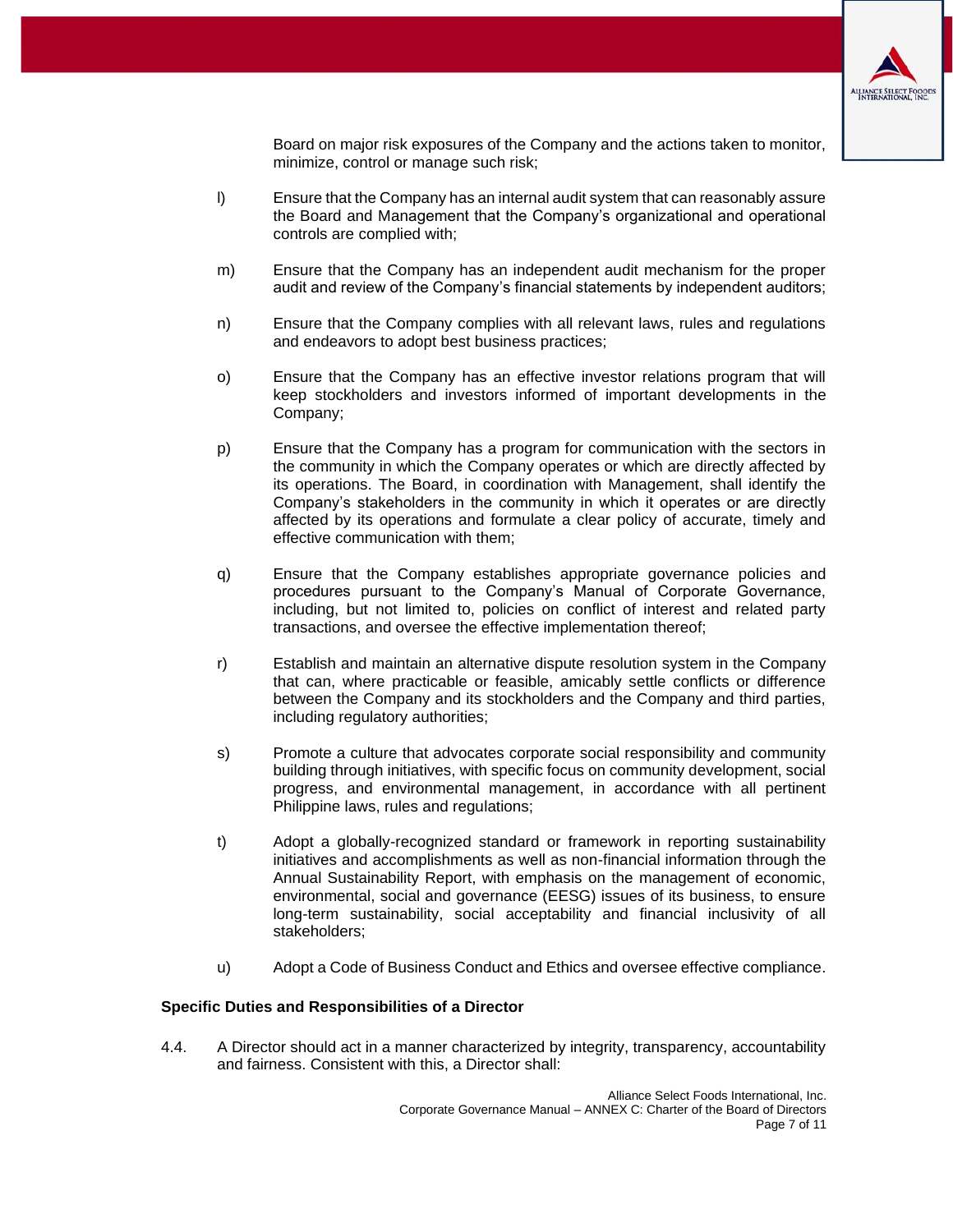

Board on major risk exposures of the Company and the actions taken to monitor, minimize, control or manage such risk;

- l) Ensure that the Company has an internal audit system that can reasonably assure the Board and Management that the Company's organizational and operational controls are complied with;
- m) Ensure that the Company has an independent audit mechanism for the proper audit and review of the Company's financial statements by independent auditors;
- n) Ensure that the Company complies with all relevant laws, rules and regulations and endeavors to adopt best business practices;
- o) Ensure that the Company has an effective investor relations program that will keep stockholders and investors informed of important developments in the Company;
- p) Ensure that the Company has a program for communication with the sectors in the community in which the Company operates or which are directly affected by its operations. The Board, in coordination with Management, shall identify the Company's stakeholders in the community in which it operates or are directly affected by its operations and formulate a clear policy of accurate, timely and effective communication with them;
- q) Ensure that the Company establishes appropriate governance policies and procedures pursuant to the Company's Manual of Corporate Governance, including, but not limited to, policies on conflict of interest and related party transactions, and oversee the effective implementation thereof;
- r) Establish and maintain an alternative dispute resolution system in the Company that can, where practicable or feasible, amicably settle conflicts or difference between the Company and its stockholders and the Company and third parties, including regulatory authorities;
- s) Promote a culture that advocates corporate social responsibility and community building through initiatives, with specific focus on community development, social progress, and environmental management, in accordance with all pertinent Philippine laws, rules and regulations;
- t) Adopt a globally-recognized standard or framework in reporting sustainability initiatives and accomplishments as well as non-financial information through the Annual Sustainability Report, with emphasis on the management of economic, environmental, social and governance (EESG) issues of its business, to ensure long-term sustainability, social acceptability and financial inclusivity of all stakeholders;
- u) Adopt a Code of Business Conduct and Ethics and oversee effective compliance.

#### **Specific Duties and Responsibilities of a Director**

4.4. A Director should act in a manner characterized by integrity, transparency, accountability and fairness. Consistent with this, a Director shall: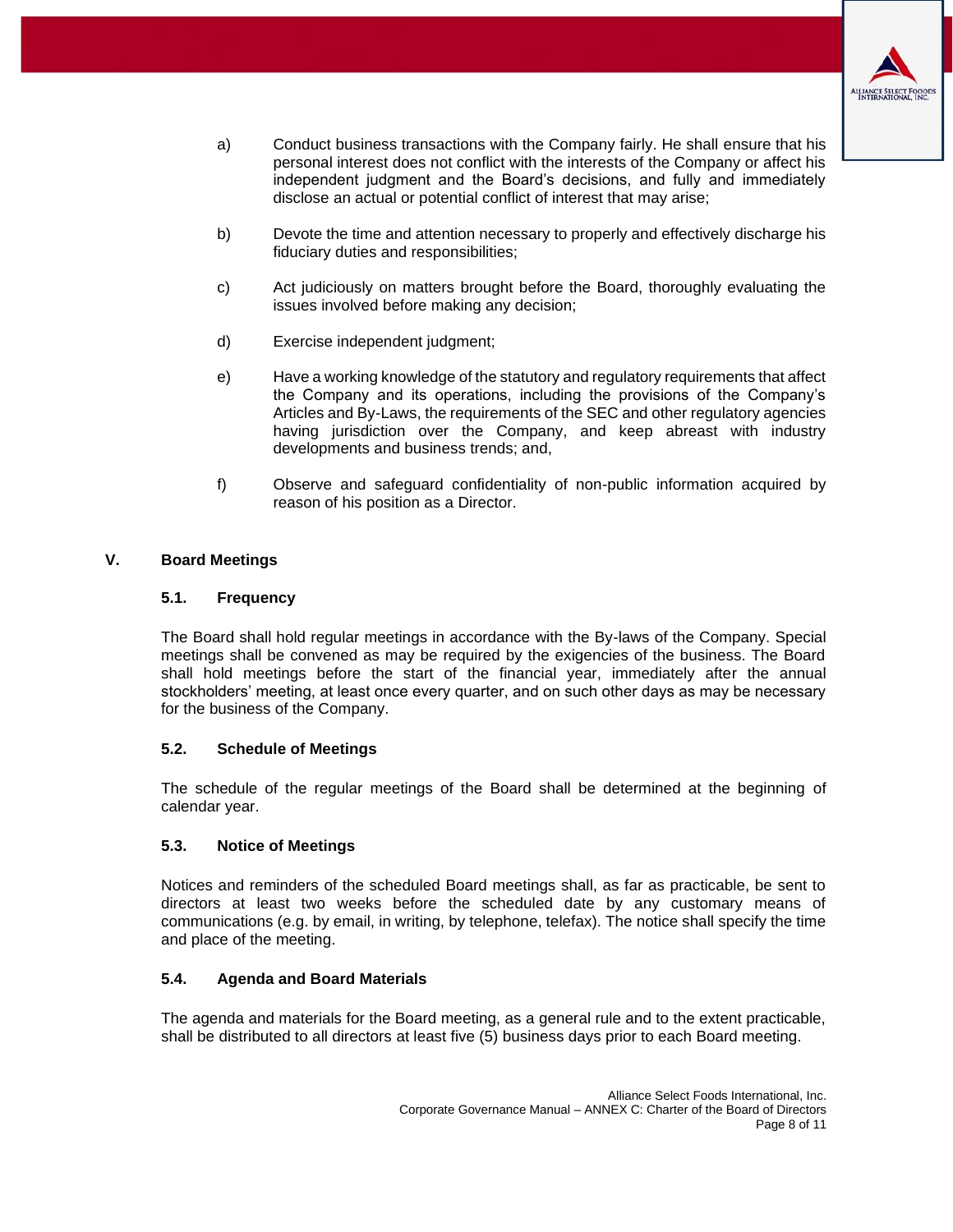

- a) Conduct business transactions with the Company fairly. He shall ensure that his personal interest does not conflict with the interests of the Company or affect his independent judgment and the Board's decisions, and fully and immediately disclose an actual or potential conflict of interest that may arise;
- b) Devote the time and attention necessary to properly and effectively discharge his fiduciary duties and responsibilities;
- c) Act judiciously on matters brought before the Board, thoroughly evaluating the issues involved before making any decision;
- d) Exercise independent judgment;
- e) Have a working knowledge of the statutory and regulatory requirements that affect the Company and its operations, including the provisions of the Company's Articles and By-Laws, the requirements of the SEC and other regulatory agencies having jurisdiction over the Company, and keep abreast with industry developments and business trends; and,
- f) Observe and safeguard confidentiality of non-public information acquired by reason of his position as a Director.

## <span id="page-7-0"></span>**V. Board Meetings**

## **5.1. Frequency**

The Board shall hold regular meetings in accordance with the By-laws of the Company. Special meetings shall be convened as may be required by the exigencies of the business. The Board shall hold meetings before the start of the financial year, immediately after the annual stockholders' meeting, at least once every quarter, and on such other days as may be necessary for the business of the Company.

## **5.2. Schedule of Meetings**

The schedule of the regular meetings of the Board shall be determined at the beginning of calendar year.

## **5.3. Notice of Meetings**

Notices and reminders of the scheduled Board meetings shall, as far as practicable, be sent to directors at least two weeks before the scheduled date by any customary means of communications (e.g. by email, in writing, by telephone, telefax). The notice shall specify the time and place of the meeting.

## **5.4. Agenda and Board Materials**

<span id="page-7-1"></span>The agenda and materials for the Board meeting, as a general rule and to the extent practicable, shall be distributed to all directors at least five (5) business days prior to each Board meeting.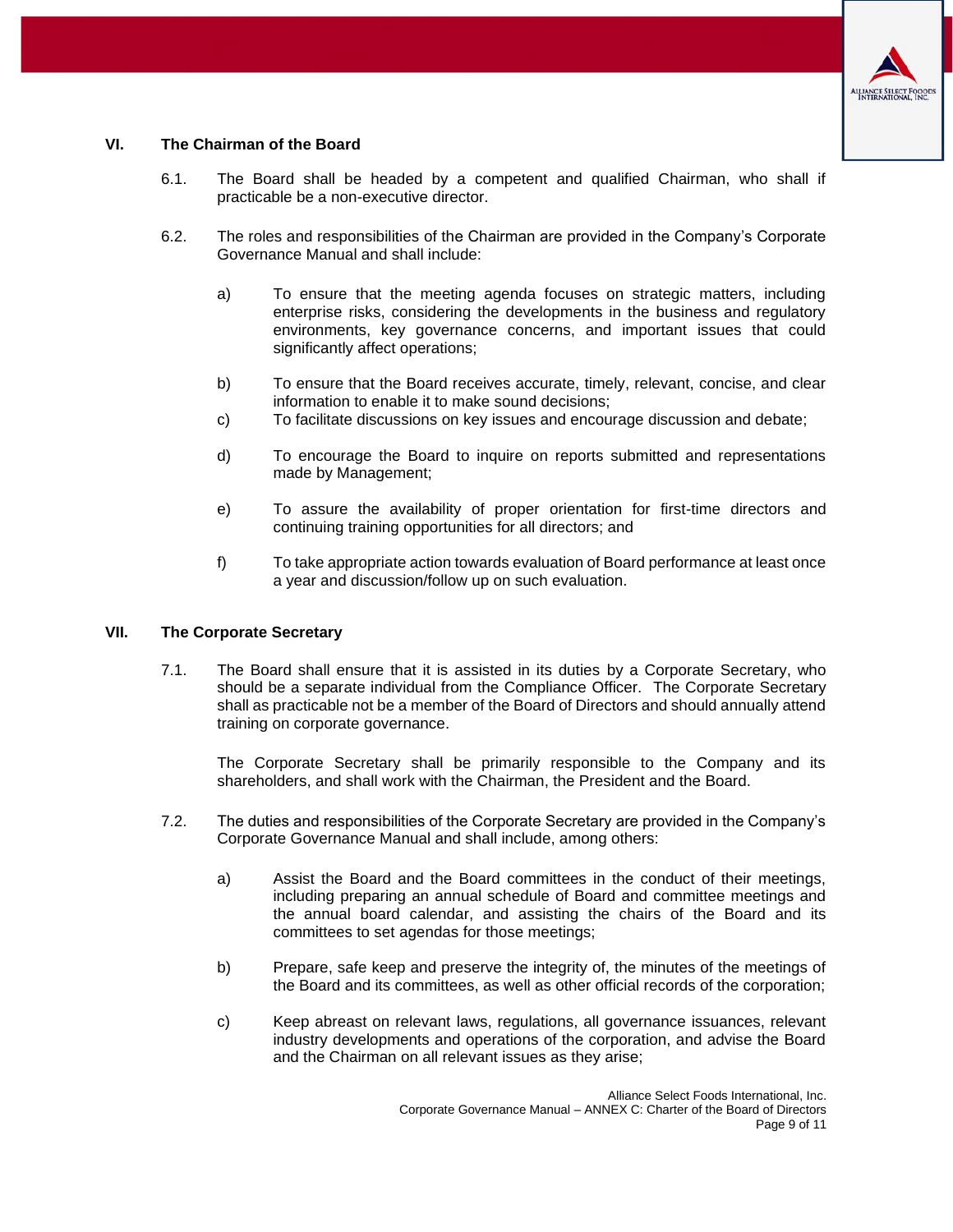

## **VI. The Chairman of the Board**

- 6.1. The Board shall be headed by a competent and qualified Chairman, who shall if practicable be a non-executive director.
- 6.2. The roles and responsibilities of the Chairman are provided in the Company's Corporate Governance Manual and shall include:
	- a) To ensure that the meeting agenda focuses on strategic matters, including enterprise risks, considering the developments in the business and regulatory environments, key governance concerns, and important issues that could significantly affect operations;
	- b) To ensure that the Board receives accurate, timely, relevant, concise, and clear information to enable it to make sound decisions;
	- c) To facilitate discussions on key issues and encourage discussion and debate;
	- d) To encourage the Board to inquire on reports submitted and representations made by Management;
	- e) To assure the availability of proper orientation for first-time directors and continuing training opportunities for all directors; and
	- f) To take appropriate action towards evaluation of Board performance at least once a year and discussion/follow up on such evaluation.

#### <span id="page-8-0"></span>**VII. The Corporate Secretary**

7.1. The Board shall ensure that it is assisted in its duties by a Corporate Secretary, who should be a separate individual from the Compliance Officer. The Corporate Secretary shall as practicable not be a member of the Board of Directors and should annually attend training on corporate governance.

The Corporate Secretary shall be primarily responsible to the Company and its shareholders, and shall work with the Chairman, the President and the Board.

- 7.2. The duties and responsibilities of the Corporate Secretary are provided in the Company's Corporate Governance Manual and shall include, among others:
	- a) Assist the Board and the Board committees in the conduct of their meetings, including preparing an annual schedule of Board and committee meetings and the annual board calendar, and assisting the chairs of the Board and its committees to set agendas for those meetings;
	- b) Prepare, safe keep and preserve the integrity of, the minutes of the meetings of the Board and its committees, as well as other official records of the corporation;
	- c) Keep abreast on relevant laws, regulations, all governance issuances, relevant industry developments and operations of the corporation, and advise the Board and the Chairman on all relevant issues as they arise;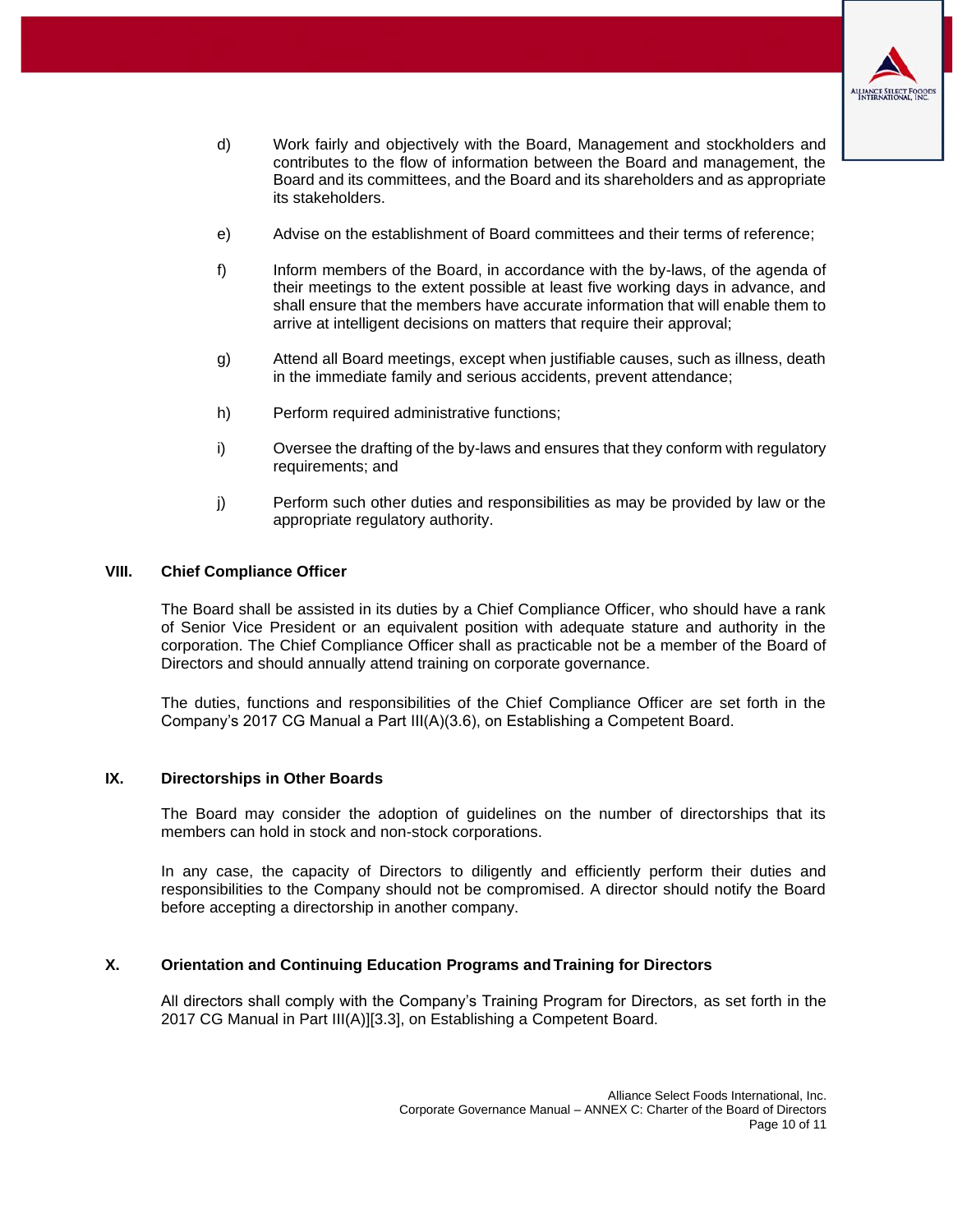

- d) Work fairly and objectively with the Board, Management and stockholders and contributes to the flow of information between the Board and management, the Board and its committees, and the Board and its shareholders and as appropriate its stakeholders.
- e) Advise on the establishment of Board committees and their terms of reference;
- f) Inform members of the Board, in accordance with the by-laws, of the agenda of their meetings to the extent possible at least five working days in advance, and shall ensure that the members have accurate information that will enable them to arrive at intelligent decisions on matters that require their approval;
- g) Attend all Board meetings, except when justifiable causes, such as illness, death in the immediate family and serious accidents, prevent attendance;
- h) Perform required administrative functions;
- i) Oversee the drafting of the by-laws and ensures that they conform with regulatory requirements; and
- j) Perform such other duties and responsibilities as may be provided by law or the appropriate regulatory authority.

#### <span id="page-9-0"></span>**VIII. Chief Compliance Officer**

The Board shall be assisted in its duties by a Chief Compliance Officer, who should have a rank of Senior Vice President or an equivalent position with adequate stature and authority in the corporation. The Chief Compliance Officer shall as practicable not be a member of the Board of Directors and should annually attend training on corporate governance.

The duties, functions and responsibilities of the Chief Compliance Officer are set forth in the Company's 2017 CG Manual a Part III(A)(3.6), on Establishing a Competent Board.

## <span id="page-9-1"></span>**IX. Directorships in Other Boards**

The Board may consider the adoption of guidelines on the number of directorships that its members can hold in stock and non-stock corporations.

In any case, the capacity of Directors to diligently and efficiently perform their duties and responsibilities to the Company should not be compromised. A director should notify the Board before accepting a directorship in another company.

## <span id="page-9-2"></span>**X. Orientation and Continuing Education Programs andTraining for Directors**

<span id="page-9-3"></span>All directors shall comply with the Company's Training Program for Directors, as set forth in the 2017 CG Manual in Part III(A)][3.3], on Establishing a Competent Board.